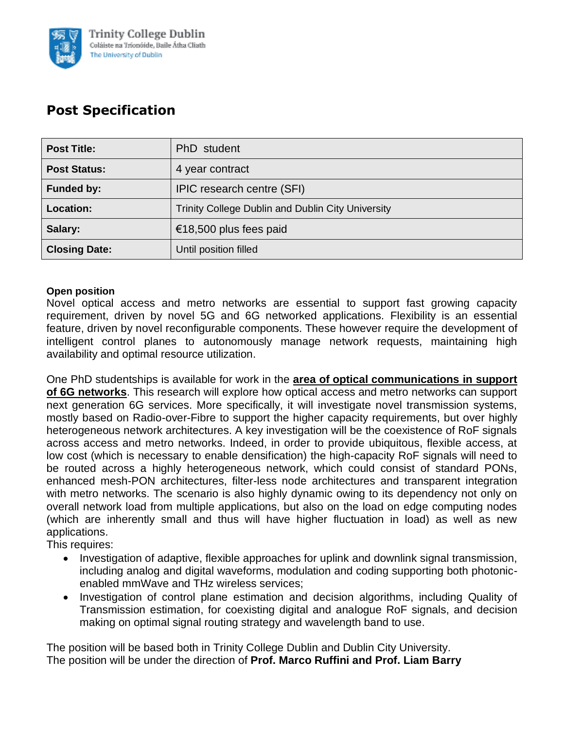

# **Post Specification**

| <b>Post Title:</b>   | PhD student                                              |  |
|----------------------|----------------------------------------------------------|--|
| <b>Post Status:</b>  | 4 year contract                                          |  |
| <b>Funded by:</b>    | IPIC research centre (SFI)                               |  |
| Location:            | <b>Trinity College Dublin and Dublin City University</b> |  |
| Salary:              | €18,500 plus fees paid                                   |  |
| <b>Closing Date:</b> | Until position filled                                    |  |

### **Open position**

Novel optical access and metro networks are essential to support fast growing capacity requirement, driven by novel 5G and 6G networked applications. Flexibility is an essential feature, driven by novel reconfigurable components. These however require the development of intelligent control planes to autonomously manage network requests, maintaining high availability and optimal resource utilization.

One PhD studentships is available for work in the **area of optical communications in support of 6G networks**. This research will explore how optical access and metro networks can support next generation 6G services. More specifically, it will investigate novel transmission systems, mostly based on Radio-over-Fibre to support the higher capacity requirements, but over highly heterogeneous network architectures. A key investigation will be the coexistence of RoF signals across access and metro networks. Indeed, in order to provide ubiquitous, flexible access, at low cost (which is necessary to enable densification) the high-capacity RoF signals will need to be routed across a highly heterogeneous network, which could consist of standard PONs, enhanced mesh-PON architectures, filter-less node architectures and transparent integration with metro networks. The scenario is also highly dynamic owing to its dependency not only on overall network load from multiple applications, but also on the load on edge computing nodes (which are inherently small and thus will have higher fluctuation in load) as well as new applications.

This requires:

- Investigation of adaptive, flexible approaches for uplink and downlink signal transmission, including analog and digital waveforms, modulation and coding supporting both photonicenabled mmWave and THz wireless services;
- Investigation of control plane estimation and decision algorithms, including Quality of Transmission estimation, for coexisting digital and analogue RoF signals, and decision making on optimal signal routing strategy and wavelength band to use.

The position will be based both in Trinity College Dublin and Dublin City University. The position will be under the direction of **Prof. Marco Ruffini and Prof. Liam Barry**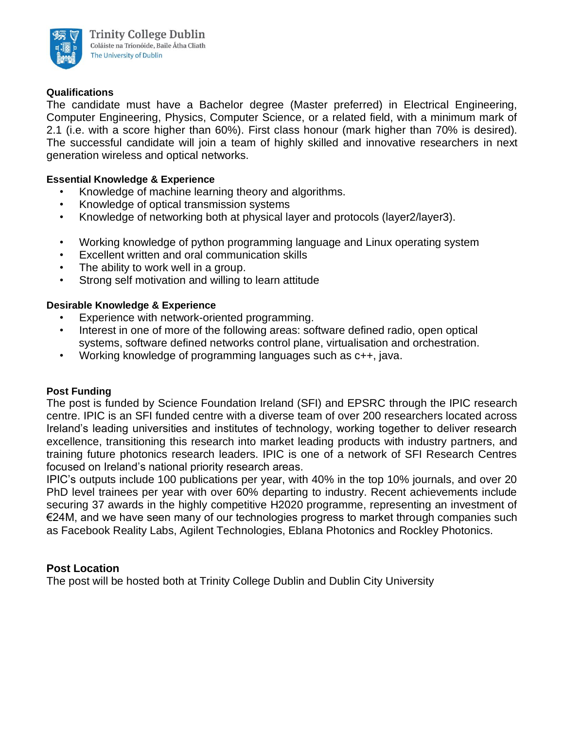

#### **Qualifications**

The candidate must have a Bachelor degree (Master preferred) in Electrical Engineering, Computer Engineering, Physics, Computer Science, or a related field, with a minimum mark of 2.1 (i.e. with a score higher than 60%). First class honour (mark higher than 70% is desired). The successful candidate will join a team of highly skilled and innovative researchers in next generation wireless and optical networks.

#### **Essential Knowledge & Experience**

- Knowledge of machine learning theory and algorithms.
- Knowledge of optical transmission systems
- Knowledge of networking both at physical layer and protocols (layer2/layer3).
- Working knowledge of python programming language and Linux operating system
- Excellent written and oral communication skills
- The ability to work well in a group.
- Strong self motivation and willing to learn attitude

#### **Desirable Knowledge & Experience**

- Experience with network-oriented programming.
- Interest in one of more of the following areas: software defined radio, open optical systems, software defined networks control plane, virtualisation and orchestration.
- Working knowledge of programming languages such as c++, java.

#### **Post Funding**

The post is funded by Science Foundation Ireland (SFI) and EPSRC through the IPIC research centre. IPIC is an SFI funded centre with a diverse team of over 200 researchers located across Ireland's leading universities and institutes of technology, working together to deliver research excellence, transitioning this research into market leading products with industry partners, and training future photonics research leaders. IPIC is one of a network of SFI Research Centres focused on Ireland's national priority research areas.

IPIC's outputs include 100 publications per year, with 40% in the top 10% journals, and over 20 PhD level trainees per year with over 60% departing to industry. Recent achievements include securing 37 awards in the highly competitive H2020 programme, representing an investment of €24M, and we have seen many of our technologies progress to market through companies such as Facebook Reality Labs, Agilent Technologies, Eblana Photonics and Rockley Photonics.

#### **Post Location**

The post will be hosted both at Trinity College Dublin and Dublin City University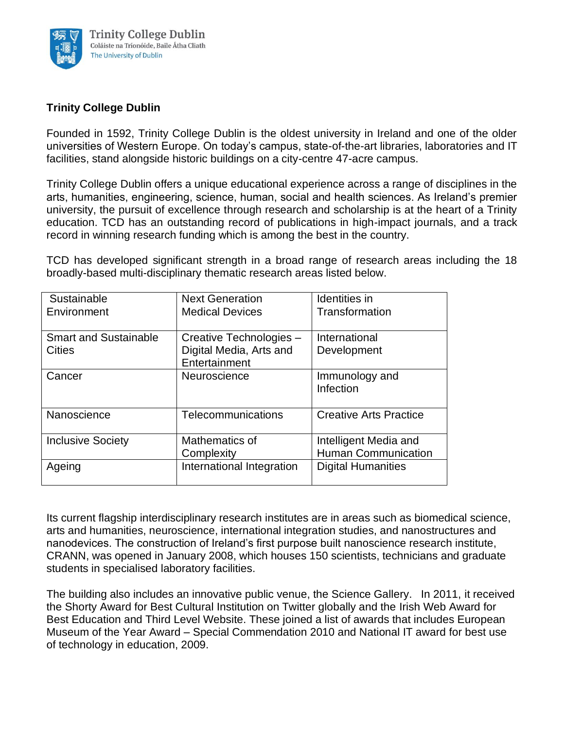

## **Trinity College Dublin**

Founded in 1592, Trinity College Dublin is the oldest university in Ireland and one of the older universities of Western Europe. On today's campus, state-of-the-art libraries, laboratories and IT facilities, stand alongside historic buildings on a city-centre 47-acre campus.

Trinity College Dublin offers a unique educational experience across a range of disciplines in the arts, humanities, engineering, science, human, social and health sciences. As Ireland's premier university, the pursuit of excellence through research and scholarship is at the heart of a Trinity education. TCD has an outstanding record of publications in high-impact journals, and a track record in winning research funding which is among the best in the country.

TCD has developed significant strength in a broad range of research areas including the 18 broadly-based multi-disciplinary thematic research areas listed below.

| Sustainable                  | <b>Next Generation</b>    | <b>Identities</b> in          |
|------------------------------|---------------------------|-------------------------------|
| Environment                  | <b>Medical Devices</b>    | Transformation                |
|                              |                           |                               |
| <b>Smart and Sustainable</b> | Creative Technologies -   | International                 |
| <b>Cities</b>                | Digital Media, Arts and   | Development                   |
|                              | Entertainment             |                               |
| Cancer                       | Neuroscience              | Immunology and                |
|                              |                           | Infection                     |
|                              |                           |                               |
| Nanoscience                  | Telecommunications        | <b>Creative Arts Practice</b> |
|                              |                           |                               |
| <b>Inclusive Society</b>     | Mathematics of            | Intelligent Media and         |
|                              | Complexity                | <b>Human Communication</b>    |
| Ageing                       | International Integration | <b>Digital Humanities</b>     |
|                              |                           |                               |

Its current flagship interdisciplinary research institutes are in areas such as biomedical science, arts and humanities, neuroscience, international integration studies, and nanostructures and nanodevices. The construction of Ireland's first purpose built nanoscience research institute, CRANN, was opened in January 2008, which houses 150 scientists, technicians and graduate students in specialised laboratory facilities.

The building also includes an innovative public venue, the Science Gallery. In 2011, it received the Shorty Award for Best Cultural Institution on Twitter globally and the Irish Web Award for Best Education and Third Level Website. These joined a list of awards that includes European Museum of the Year Award – Special Commendation 2010 and National IT award for best use of technology in education, 2009.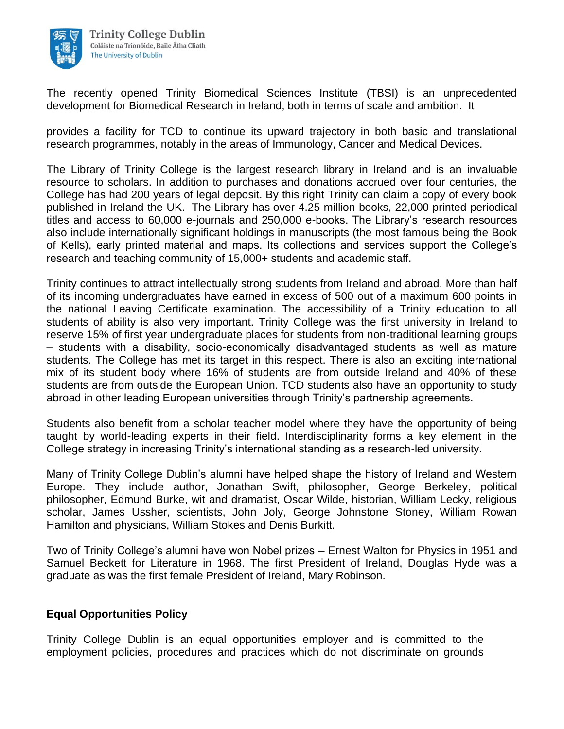

The recently opened Trinity Biomedical Sciences Institute (TBSI) is an unprecedented development for Biomedical Research in Ireland, both in terms of scale and ambition. It

provides a facility for TCD to continue its upward trajectory in both basic and translational research programmes, notably in the areas of Immunology, Cancer and Medical Devices.

The Library of Trinity College is the largest research library in Ireland and is an invaluable resource to scholars. In addition to purchases and donations accrued over four centuries, the College has had 200 years of legal deposit. By this right Trinity can claim a copy of every book published in Ireland the UK. The Library has over 4.25 million books, 22,000 printed periodical titles and access to 60,000 e-journals and 250,000 e-books. The Library's research resources also include internationally significant holdings in manuscripts (the most famous being the Book of Kells), early printed material and maps. Its collections and services support the College's research and teaching community of 15,000+ students and academic staff.

Trinity continues to attract intellectually strong students from Ireland and abroad. More than half of its incoming undergraduates have earned in excess of 500 out of a maximum 600 points in the national Leaving Certificate examination. The accessibility of a Trinity education to all students of ability is also very important. Trinity College was the first university in Ireland to reserve 15% of first year undergraduate places for students from non-traditional learning groups – students with a disability, socio-economically disadvantaged students as well as mature students. The College has met its target in this respect. There is also an exciting international mix of its student body where 16% of students are from outside Ireland and 40% of these students are from outside the European Union. TCD students also have an opportunity to study abroad in other leading European universities through Trinity's partnership agreements.

Students also benefit from a scholar teacher model where they have the opportunity of being taught by world-leading experts in their field. Interdisciplinarity forms a key element in the College strategy in increasing Trinity's international standing as a research-led university.

Many of Trinity College Dublin's alumni have helped shape the history of Ireland and Western Europe. They include author, Jonathan Swift, philosopher, George Berkeley, political philosopher, Edmund Burke, wit and dramatist, Oscar Wilde, historian, William Lecky, religious scholar, James Ussher, scientists, John Joly, George Johnstone Stoney, William Rowan Hamilton and physicians, William Stokes and Denis Burkitt.

Two of Trinity College's alumni have won Nobel prizes – Ernest Walton for Physics in 1951 and Samuel Beckett for Literature in 1968. The first President of Ireland, Douglas Hyde was a graduate as was the first female President of Ireland, Mary Robinson.

## **Equal Opportunities Policy**

Trinity College Dublin is an equal opportunities employer and is committed to the employment policies, procedures and practices which do not discriminate on grounds